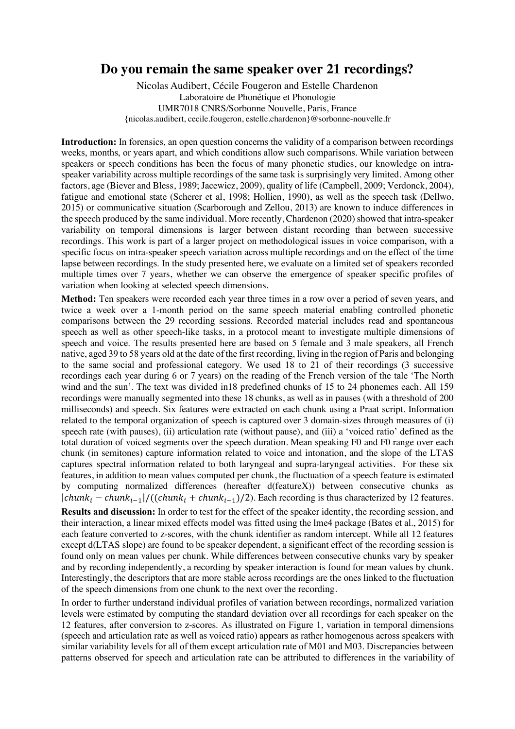## **Do you remain the same speaker over 21 recordings?**

Nicolas Audibert, Cécile Fougeron and Estelle Chardenon Laboratoire de Phonétique et Phonologie UMR7018 CNRS/Sorbonne Nouvelle, Paris, France {nicolas.audibert, cecile.fougeron, estelle.chardenon}@sorbonne-nouvelle.fr

**Introduction:** In forensics, an open question concerns the validity of a comparison between recordings weeks, months, or years apart, and which conditions allow such comparisons. While variation between speakers or speech conditions has been the focus of many phonetic studies, our knowledge on intraspeaker variability across multiple recordings of the same task is surprisingly very limited. Among other factors, age (Biever and Bless, 1989; Jacewicz, 2009), quality of life (Campbell, 2009; Verdonck, 2004), fatigue and emotional state (Scherer et al, 1998; Hollien, 1990), as well as the speech task (Dellwo, 2015) or communicative situation (Scarborough and Zellou, 2013) are known to induce differences in the speech produced by the same individual. More recently, Chardenon (2020) showed that intra-speaker variability on temporal dimensions is larger between distant recording than between successive recordings. This work is part of a larger project on methodological issues in voice comparison, with a specific focus on intra-speaker speech variation across multiple recordings and on the effect of the time lapse between recordings. In the study presented here, we evaluate on a limited set of speakers recorded multiple times over 7 years, whether we can observe the emergence of speaker specific profiles of variation when looking at selected speech dimensions.

**Method:** Ten speakers were recorded each year three times in a row over a period of seven years, and twice a week over a 1-month period on the same speech material enabling controlled phonetic comparisons between the 29 recording sessions. Recorded material includes read and spontaneous speech as well as other speech-like tasks, in a protocol meant to investigate multiple dimensions of speech and voice. The results presented here are based on 5 female and 3 male speakers, all French native, aged 39 to 58 years old at the date of the first recording, living in the region of Paris and belonging to the same social and professional category. We used 18 to 21 of their recordings (3 successive recordings each year during 6 or 7 years) on the reading of the French version of the tale 'The North wind and the sun'. The text was divided in18 predefined chunks of 15 to 24 phonemes each. All 159 recordings were manually segmented into these 18 chunks, as well as in pauses (with a threshold of 200 milliseconds) and speech. Six features were extracted on each chunk using a Praat script. Information related to the temporal organization of speech is captured over 3 domain-sizes through measures of (i) speech rate (with pauses), (ii) articulation rate (without pause), and (iii) a 'voiced ratio' defined as the total duration of voiced segments over the speech duration. Mean speaking F0 and F0 range over each chunk (in semitones) capture information related to voice and intonation, and the slope of the LTAS captures spectral information related to both laryngeal and supra-laryngeal activities. For these six features, in addition to mean values computed per chunk, the fluctuation of a speech feature is estimated by computing normalized differences (hereafter d(featureX)) between consecutive chunks as  $|chunk_i - chunk_{i-1}|/((chunk_i + chunk_{i-1})/2)$ . Each recording is thus characterized by 12 features.

**Results and discussion:** In order to test for the effect of the speaker identity, the recording session, and their interaction, a linear mixed effects model was fitted using the lme4 package (Bates et al., 2015) for each feature converted to z-scores, with the chunk identifier as random intercept. While all 12 features except d(LTAS slope) are found to be speaker dependent, a significant effect of the recording session is found only on mean values per chunk. While differences between consecutive chunks vary by speaker and by recording independently, a recording by speaker interaction is found for mean values by chunk. Interestingly, the descriptors that are more stable across recordings are the ones linked to the fluctuation of the speech dimensions from one chunk to the next over the recording.

In order to further understand individual profiles of variation between recordings, normalized variation levels were estimated by computing the standard deviation over all recordings for each speaker on the 12 features, after conversion to z-scores. As illustrated on Figure 1, variation in temporal dimensions (speech and articulation rate as well as voiced ratio) appears as rather homogenous across speakers with similar variability levels for all of them except articulation rate of M01 and M03. Discrepancies between patterns observed for speech and articulation rate can be attributed to differences in the variability of